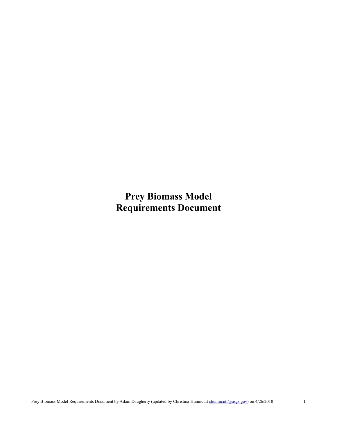**Prey Biomass Model Requirements Document**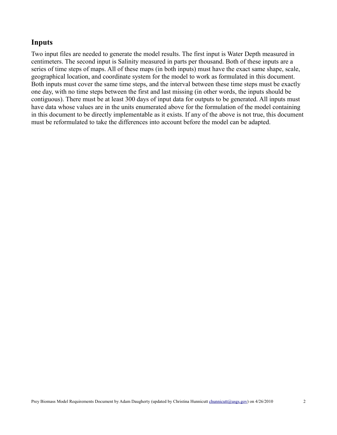## **Inputs**

Two input files are needed to generate the model results. The first input is Water Depth measured in centimeters. The second input is Salinity measured in parts per thousand. Both of these inputs are a series of time steps of maps. All of these maps (in both inputs) must have the exact same shape, scale, geographical location, and coordinate system for the model to work as formulated in this document. Both inputs must cover the same time steps, and the interval between these time steps must be exactly one day, with no time steps between the first and last missing (in other words, the inputs should be contiguous). There must be at least 300 days of input data for outputs to be generated. All inputs must have data whose values are in the units enumerated above for the formulation of the model containing in this document to be directly implementable as it exists. If any of the above is not true, this document must be reformulated to take the differences into account before the model can be adapted.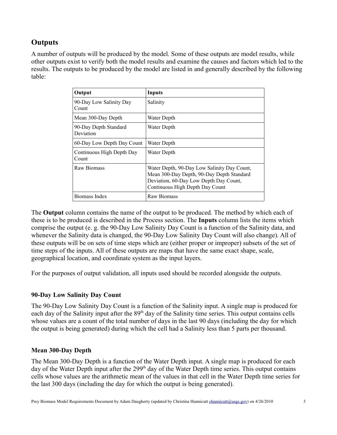# **Outputs**

A number of outputs will be produced by the model. Some of these outputs are model results, while other outputs exist to verify both the model results and examine the causes and factors which led to the results. The outputs to be produced by the model are listed in and generally described by the following table:

| Output                             | Inputs                                                                                                                                                                |
|------------------------------------|-----------------------------------------------------------------------------------------------------------------------------------------------------------------------|
| 90-Day Low Salinity Day<br>Count   | Salinity                                                                                                                                                              |
| Mean 300-Day Depth                 | Water Depth                                                                                                                                                           |
| 90-Day Depth Standard<br>Deviation | Water Depth                                                                                                                                                           |
| 60-Day Low Depth Day Count         | Water Depth                                                                                                                                                           |
| Continuous High Depth Day<br>Count | Water Depth                                                                                                                                                           |
| Raw Biomass                        | Water Depth, 90-Day Low Salinity Day Count,<br>Mean 300-Day Depth, 90-Day Depth Standard<br>Deviation, 60-Day Low Depth Day Count,<br>Continuous High Depth Day Count |
| Biomass Index                      | Raw Biomass                                                                                                                                                           |

The **Output** column contains the name of the output to be produced. The method by which each of these is to be produced is described in the Process section. The **Inputs** column lists the items which comprise the output (e. g. the 90-Day Low Salinity Day Count is a function of the Salinity data, and whenever the Salinity data is changed, the 90-Day Low Salinity Day Count will also change). All of these outputs will be on sets of time steps which are (either proper or improper) subsets of the set of time steps of the inputs. All of these outputs are maps that have the same exact shape, scale, geographical location, and coordinate system as the input layers.

For the purposes of output validation, all inputs used should be recorded alongside the outputs.

## **90-Day Low Salinity Day Count**

The 90-Day Low Salinity Day Count is a function of the Salinity input. A single map is produced for each day of the Salinity input after the 89<sup>th</sup> day of the Salinity time series. This output contains cells whose values are a count of the total number of days in the last 90 days (including the day for which the output is being generated) during which the cell had a Salinity less than 5 parts per thousand.

## **Mean 300-Day Depth**

The Mean 300-Day Depth is a function of the Water Depth input. A single map is produced for each day of the Water Depth input after the 299<sup>th</sup> day of the Water Depth time series. This output contains cells whose values are the arithmetic mean of the values in that cell in the Water Depth time series for the last 300 days (including the day for which the output is being generated).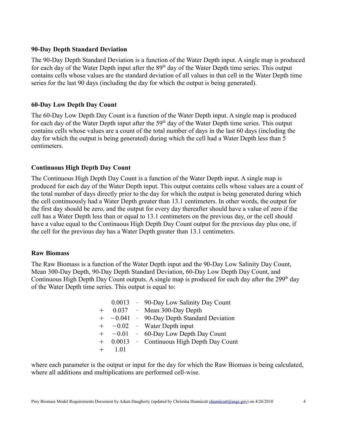#### **90-Day Depth Standard Deviation**

The 90-Day Depth Standard Deviation is a function of the Water Depth input. A single map is produced for each day of the Water Depth input after the 89<sup>th</sup> day of the Water Depth time series. This output contains cells whose values are the standard deviation of all values in that cell in the Water Depth time series for the last 90 days (including the day for which the output is being generated).

## **60-Day Low Depth Day Count**

The 60-Day Low Depth Day Count is a function of the Water Depth input. A single map is produced for each day of the Water Depth input after the 59<sup>th</sup> day of the Water Depth time series. This output contains cells whose values are a count of the total number of days in the last 60 days (including the day for which the output is being generated) during which the cell had a Water Depth less than 5 centimeters.

## **Continuous High Depth Day Count**

The Continuous High Depth Day Count is a function of the Water Depth input. A single map is produced for each day of the Water Depth input. This output contains cells whose values are a count of the total number of days directly prior to the day for which the output is being generated during which the cell continuously had a Water Depth greater than 13.1 centimeters. In other words, the output for the first day should be zero, and the output for every day thereafter should have a value of zero if the cell has a Water Depth less than or equal to 13.1 centimeters on the previous day, or the cell should have a value equal to the Continuous High Depth Day Count output for the previous day plus one, if the cell for the previous day has a Water Depth greater than 13.1 centimeters.

#### **Raw Biomass**

The Raw Biomass is a function of the Water Depth input and the 90-Day Low Salinity Day Count, Mean 300-Day Depth, 90-Day Depth Standard Deviation, 60-Day Low Depth Day Count, and Continuous High Depth Day Count outputs. A single map is produced for each day after the  $299<sup>th</sup>$  day of the Water Depth time series. This output is equal to:

|     | 0.0013   | . 90-Day Low Salinity Day Count   |
|-----|----------|-----------------------------------|
|     | 0.037    | $\cdot$ Mean 300-Day Depth        |
|     | $-0.041$ | · 90-Day Depth Standard Deviation |
|     | $-0.02$  | · Water Depth input               |
|     | $-0.01$  | • 60-Day Low Depth Day Count      |
| $+$ | 0.0013   | · Continuous High Depth Day Count |
|     | 101      |                                   |

where each parameter is the output or input for the day for which the Raw Biomass is being calculated, where all additions and multiplications are performed cell-wise.